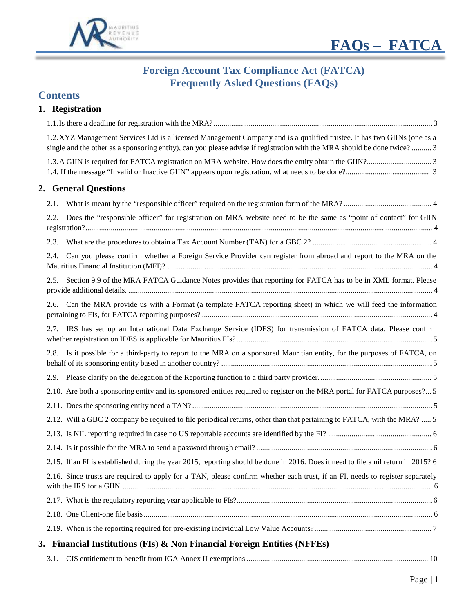



# **Foreign Account Tax Compliance Act (FATCA) Frequently Asked Questions (FAQs)**

## **Contents**

## **1. Registration**

|      | 1.2. XYZ Management Services Ltd is a licensed Management Company and is a qualified trustee. It has two GIINs (one as a<br>single and the other as a sponsoring entity), can you please advise if registration with the MRA should be done twice?  3 |  |
|------|-------------------------------------------------------------------------------------------------------------------------------------------------------------------------------------------------------------------------------------------------------|--|
|      |                                                                                                                                                                                                                                                       |  |
|      | 2. General Questions                                                                                                                                                                                                                                  |  |
| 2.1. |                                                                                                                                                                                                                                                       |  |
| 2.2. | Does the "responsible officer" for registration on MRA website need to be the same as "point of contact" for GIIN                                                                                                                                     |  |
| 2.3. |                                                                                                                                                                                                                                                       |  |
| 2.4. | Can you please confirm whether a Foreign Service Provider can register from abroad and report to the MRA on the                                                                                                                                       |  |
| 2.5. | Section 9.9 of the MRA FATCA Guidance Notes provides that reporting for FATCA has to be in XML format. Please                                                                                                                                         |  |
|      | 2.6. Can the MRA provide us with a Format (a template FATCA reporting sheet) in which we will feed the information                                                                                                                                    |  |
|      | 2.7. IRS has set up an International Data Exchange Service (IDES) for transmission of FATCA data. Please confirm                                                                                                                                      |  |
|      | 2.8. Is it possible for a third-party to report to the MRA on a sponsored Mauritian entity, for the purposes of FATCA, on                                                                                                                             |  |
|      |                                                                                                                                                                                                                                                       |  |
|      | 2.10. Are both a sponsoring entity and its sponsored entities required to register on the MRA portal for FATCA purposes? 5                                                                                                                            |  |
|      |                                                                                                                                                                                                                                                       |  |
|      | 2.12. Will a GBC 2 company be required to file periodical returns, other than that pertaining to FATCA, with the MRA?  5                                                                                                                              |  |
|      |                                                                                                                                                                                                                                                       |  |
|      |                                                                                                                                                                                                                                                       |  |
|      | 2.15. If an FI is established during the year 2015, reporting should be done in 2016. Does it need to file a nil return in 2015? 6                                                                                                                    |  |
|      | 2.16. Since trusts are required to apply for a TAN, please confirm whether each trust, if an FI, needs to register separately                                                                                                                         |  |
|      |                                                                                                                                                                                                                                                       |  |
|      |                                                                                                                                                                                                                                                       |  |
|      |                                                                                                                                                                                                                                                       |  |
|      | 3. Financial Institutions (FIs) & Non Financial Foreign Entities (NFFEs)                                                                                                                                                                              |  |
| 3.1. |                                                                                                                                                                                                                                                       |  |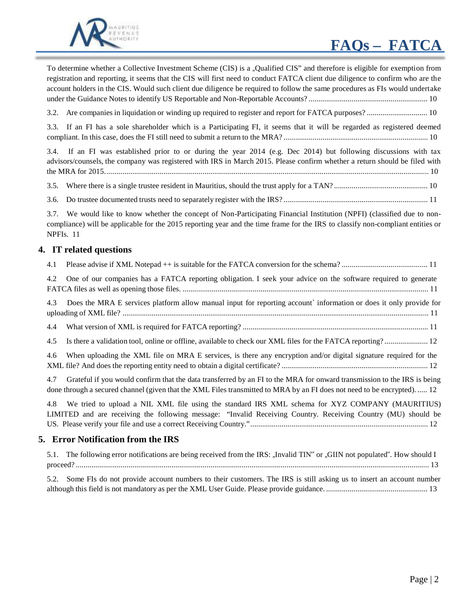# **FAQs – FATCA**



To determine whether a Collective Investment Scheme (CIS) is a "Qualified CIS" and therefore is eligible for exemption from registration and reporting, it seems that the CIS will first need to conduct FATCA client due diligence to confirm who are the account holders in the CIS. Would such client due diligence be required to follow the same procedures as FIs would undertake under the Guidance Notes to identify US Reportable and Non-Reportable Accounts? ............................................................. 10

3.2. Are companies in liquidation or winding up required to register and report for FATCA purposes? ............................... 10

3.3. If an FI has a sole shareholder which is a Participating FI, it seems that it will be regarded as registered deemed compliant. In this case, does the FI still need to submit a return to the MRA? .......................................................................... 10

3.4. If an FI was established prior to or during the year 2014 (e.g. Dec 2014) but following discussions with tax advisors/counsels, the company was registered with IRS in March 2015. Please confirm whether a return should be filed with the MRA for 2015. ..................................................................................................................................................................... 10

3.5. Where there is a single trustee resident in Mauritius, should the trust apply for a TAN? ................................................ 10

3.6. Do trustee documented trusts need to separately register with the IRS? .......................................................................... 11

3.7. We would like to know whether the concept of Non-Participating Financial Institution (NPFI) (classified due to noncompliance) will be applicable for the 2015 reporting year and the time frame for the IRS to classify non-compliant entities or NPFIs. 11

#### **4. IT related questions**

| 4.1 |                                                                                                                                                                                                                                                     |
|-----|-----------------------------------------------------------------------------------------------------------------------------------------------------------------------------------------------------------------------------------------------------|
| 4.2 | One of our companies has a FATCA reporting obligation. I seek your advice on the software required to generate                                                                                                                                      |
| 4.3 | Does the MRA E services platform allow manual input for reporting account information or does it only provide for                                                                                                                                   |
| 4.4 |                                                                                                                                                                                                                                                     |
| 4.5 | Is there a validation tool, online or offline, available to check our XML files for the FATCA reporting? 12                                                                                                                                         |
| 4.6 | When uploading the XML file on MRA E services, is there any encryption and/or digital signature required for the                                                                                                                                    |
| 4.7 | Grateful if you would confirm that the data transferred by an FI to the MRA for onward transmission to the IRS is being<br>done through a secured channel (given that the XML Files transmitted to MRA by an FI does not need to be encrypted).  12 |
| 4.8 | We tried to upload a NIL XML file using the standard IRS XML schema for XYZ COMPANY (MAURITIUS)<br>LIMITED and are receiving the following message: "Invalid Receiving Country. Receiving Country (MU) should be                                    |
|     | 5. Error Notification from the IRS                                                                                                                                                                                                                  |
|     | 5.1. The following error notifications are being received from the IRS: "Invalid TIN" or "GIIN not populated". How should I                                                                                                                         |

5.2. Some FIs do not provide account numbers to their customers. The IRS is still asking us to insert an account number although this field is not mandatory as per the XML User Guide. Please provide guidance. .................................................... 13

proceed? ..................................................................................................................................................................................... 13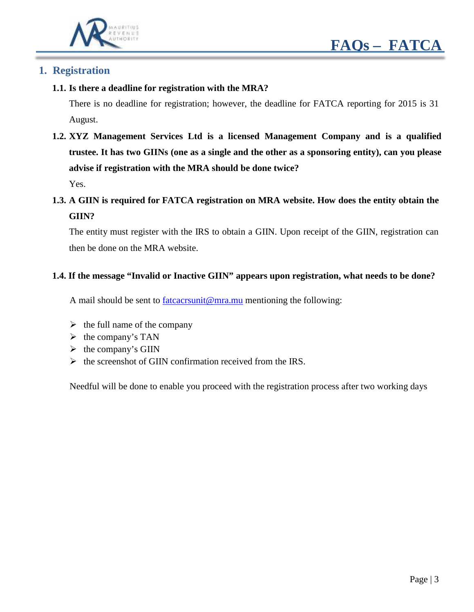



#### **1. Registration**

**1.1. Is there a deadline for registration with the MRA?**

There is no deadline for registration; however, the deadline for FATCA reporting for 2015 is 31 August.

**1.2. XYZ Management Services Ltd is a licensed Management Company and is a qualified trustee. It has two GIINs (one as a single and the other as a sponsoring entity), can you please advise if registration with the MRA should be done twice?**

Yes.

**1.3. A GIIN is required for FATCA registration on MRA website. How does the entity obtain the GIIN?**

The entity must register with the IRS to obtain a GIIN. Upon receipt of the GIIN, registration can then be done on the MRA website.

#### **1.4. If the message "Invalid or Inactive GIIN" appears upon registration, what needs to be done?**

A mail should be sent to  $frac{factorsum@ma.mu}{moment@ma.mu}$  mentioning the following:

- $\triangleright$  the full name of the company
- $\triangleright$  the company's TAN
- $\triangleright$  the company's GIIN
- $\triangleright$  the screenshot of GIIN confirmation received from the IRS.

Needful will be done to enable you proceed with the registration process after two working days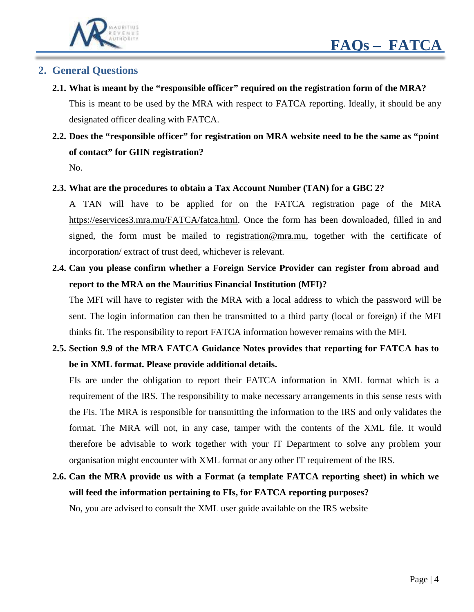

## **2. General Questions**

**2.1. What is meant by the "responsible officer" required on the registration form of the MRA?** This is meant to be used by the MRA with respect to FATCA reporting. Ideally, it should be any designated officer dealing with FATCA.

# **2.2. Does the "responsible officer" for registration on MRA website need to be the same as "point of contact" for GIIN registration?**

No.

#### **2.3. What are the procedures to obtain a Tax Account Number (TAN) for a GBC 2?**

A TAN will have to be applied for on the FATCA registration page of the MRA [https://eservices3.mra.mu/FATCA/fatca.html.](https://eservices3.mra.mu/FATCA/fatca.html) Once the form has been downloaded, filled in and signed, the form must be mailed to [registration@mra.mu,](mailto:registration@mra.mu) together with the certificate of incorporation/ extract of trust deed, whichever is relevant.

**2.4. Can you please confirm whether a Foreign Service Provider can register from abroad and report to the MRA on the Mauritius Financial Institution (MFI)?**

The MFI will have to register with the MRA with a local address to which the password will be sent. The login information can then be transmitted to a third party (local or foreign) if the MFI thinks fit. The responsibility to report FATCA information however remains with the MFI.

## **2.5. Section 9.9 of the MRA FATCA Guidance Notes provides that reporting for FATCA has to be in XML format. Please provide additional details.**

FIs are under the obligation to report their FATCA information in XML format which is a requirement of the IRS. The responsibility to make necessary arrangements in this sense rests with the FIs. The MRA is responsible for transmitting the information to the IRS and only validates the format. The MRA will not, in any case, tamper with the contents of the XML file. It would therefore be advisable to work together with your IT Department to solve any problem your organisation might encounter with XML format or any other IT requirement of the IRS.

# **2.6. Can the MRA provide us with a Format (a template FATCA reporting sheet) in which we will feed the information pertaining to FIs, for FATCA reporting purposes?**

No, you are advised to consult the XML user guide available on the IRS website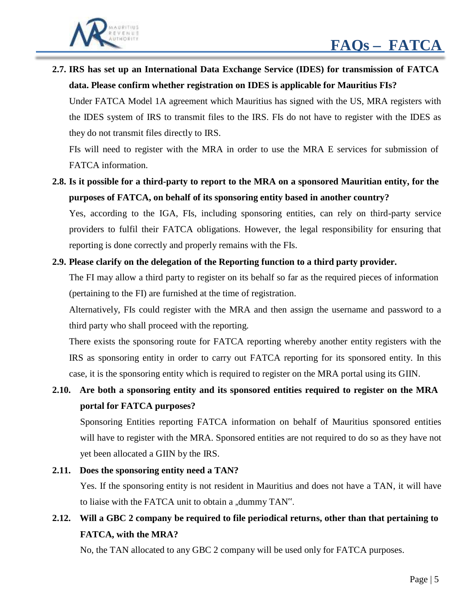

**2.7. IRS has set up an International Data Exchange Service (IDES) for transmission of FATCA data. Please confirm whether registration on IDES is applicable for Mauritius FIs?**

Under FATCA Model 1A agreement which Mauritius has signed with the US, MRA registers with the IDES system of IRS to transmit files to the IRS. FIs do not have to register with the IDES as they do not transmit files directly to IRS.

FIs will need to register with the MRA in order to use the MRA E services for submission of FATCA information.

2.8. Is it possible for a third-party to report to the MRA on a sponsored Mauritian entity, for the **purposes of FATCA, on behalf of its sponsoring entity based in another country?**

Yes, according to the IGA, FIs, including sponsoring entities, can rely on third-party service providers to fulfil their FATCA obligations. However, the legal responsibility for ensuring that reporting is done correctly and properly remains with the FIs.

#### **2.9. Please clarify on the delegation of the Reporting function to a third party provider.**

The FI may allow a third party to register on its behalf so far as the required pieces of information (pertaining to the FI) are furnished at the time of registration.

Alternatively, FIs could register with the MRA and then assign the username and password to a third party who shall proceed with the reporting.

There exists the sponsoring route for FATCA reporting whereby another entity registers with the IRS as sponsoring entity in order to carry out FATCA reporting for its sponsored entity. In this case, it is the sponsoring entity which is required to register on the MRA portal using its GIIN.

**2.10. Are both a sponsoring entity and its sponsored entities required to register on the MRA portal for FATCA purposes?**

Sponsoring Entities reporting FATCA information on behalf of Mauritius sponsored entities will have to register with the MRA. Sponsored entities are not required to do so as they have not yet been allocated a GIIN by the IRS.

#### **2.11. Does the sponsoring entity need a TAN?**

Yes. If the sponsoring entity is not resident in Mauritius and does not have a TAN, it will have to liaise with the FATCA unit to obtain a "dummy TAN".

# **2.12. Will a GBC 2 company be required to file periodical returns, other than that pertaining to FATCA, with the MRA?**

No, the TAN allocated to any GBC 2 company will be used only for FATCA purposes.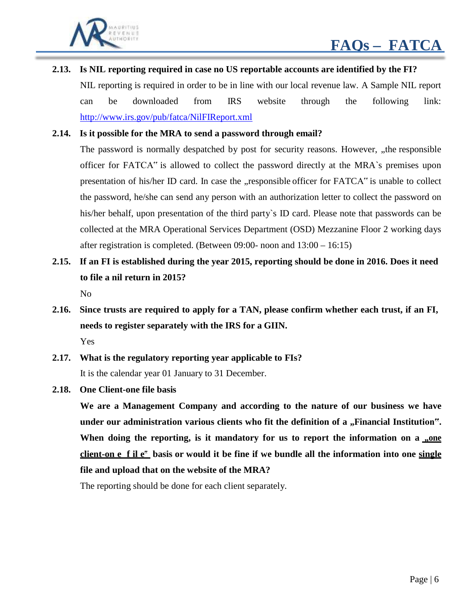

#### **2.13. Is NIL reporting required in case no US reportable accounts are identified by the FI?**

NIL reporting is required in order to be in line with our local revenue law. A Sample NIL report can be downloaded from IRS website through the following link: <http://www.irs.gov/pub/fatca/NilFIReport.xml>

#### **2.14. Is it possible for the MRA to send a password through email?**

The password is normally despatched by post for security reasons. However, "the responsible officer for FATCA" is allowed to collect the password directly at the MRA`s premises upon presentation of his/her ID card. In case the , responsible officer for FATCA" is unable to collect the password, he/she can send any person with an authorization letter to collect the password on his/her behalf, upon presentation of the third party's ID card. Please note that passwords can be collected at the MRA Operational Services Department (OSD) Mezzanine Floor 2 working days after registration is completed. (Between 09:00- noon and 13:00 – 16:15)

# 2.15. If an FI is established during the year 2015, reporting should be done in 2016. Does it need **to file a nil return in 2015?**

No

**2.16. Since trusts are required to apply for a TAN, please confirm whether each trust, if an FI, needs to register separately with the IRS for a GIIN.**

Yes

- **2.17. What is the regulatory reporting year applicable to FIs?** It is the calendar year 01 January to 31 December.
- **2.18. One Client-one file basis**

**We are a Management Company and according to the nature of our business we have under our administration various clients who fit the definition of a "Financial Institution". When doing the reporting, is it mandatory for us to report the information on a "one** client-on e f il e" basis or would it be fine if we bundle all the information into one single **file and upload that on the website of the MRA?**

The reporting should be done for each client separately.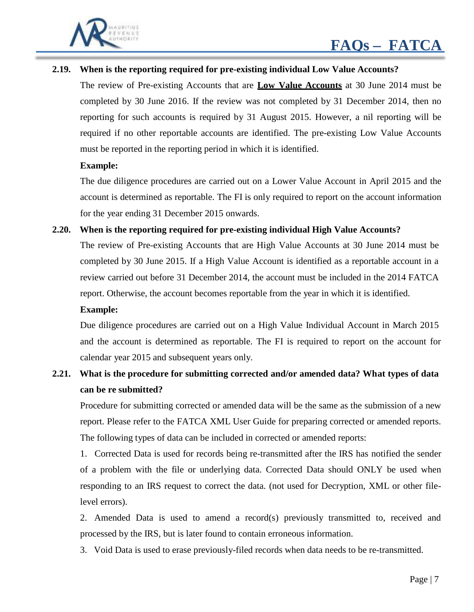

#### **2.19. When is the reporting required for pre-existing individual Low Value Accounts?**

The review of Pre-existing Accounts that are **Low Value Accounts** at 30 June 2014 must be completed by 30 June 2016. If the review was not completed by 31 December 2014, then no reporting for such accounts is required by 31 August 2015. However, a nil reporting will be required if no other reportable accounts are identified. The pre-existing Low Value Accounts must be reported in the reporting period in which it is identified.

#### **Example:**

The due diligence procedures are carried out on a Lower Value Account in April 2015 and the account is determined as reportable. The FI is only required to report on the account information for the year ending 31 December 2015 onwards.

#### **2.20. When is the reporting required for pre-existing individual High Value Accounts?**

The review of Pre-existing Accounts that are High Value Accounts at 30 June 2014 must be completed by 30 June 2015. If a High Value Account is identified as a reportable account in a review carried out before 31 December 2014, the account must be included in the 2014 FATCA report. Otherwise, the account becomes reportable from the year in which it is identified.

#### **Example:**

Due diligence procedures are carried out on a High Value Individual Account in March 2015 and the account is determined as reportable. The FI is required to report on the account for calendar year 2015 and subsequent years only.

## **2.21. What is the procedure for submitting corrected and/or amended data? What types of data can be re submitted?**

Procedure for submitting corrected or amended data will be the same as the submission of a new report. Please refer to the FATCA XML User Guide for preparing corrected or amended reports. The following types of data can be included in corrected or amended reports:

1. Corrected Data is used for records being re-transmitted after the IRS has notified the sender of a problem with the file or underlying data. Corrected Data should ONLY be used when responding to an IRS request to correct the data. (not used for Decryption, XML or other filelevel errors).

2. Amended Data is used to amend a record(s) previously transmitted to, received and processed by the IRS, but is later found to contain erroneous information.

3. Void Data is used to erase previously-filed records when data needs to be re-transmitted.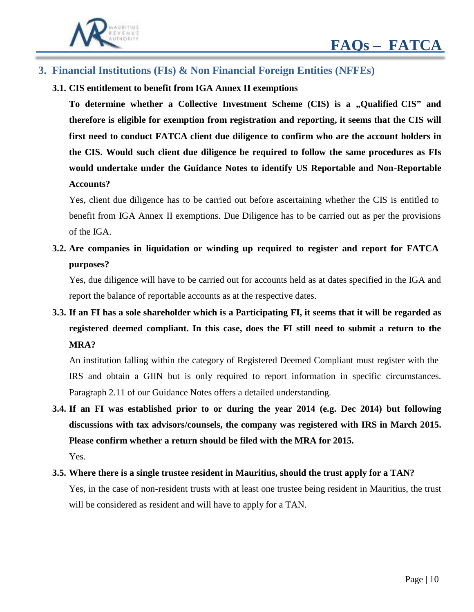

## **3. Financial Institutions (FIs) & Non Financial Foreign Entities (NFFEs)**

**3.1. CIS entitlement to benefit from IGA Annex II exemptions**

To determine whether a Collective Investment Scheme (CIS) is a "Qualified CIS" and **therefore is eligible for exemption from registration and reporting, it seems that the CIS will first need to conduct FATCA client due diligence to confirm who are the account holders in the CIS. Would such client due diligence be required to follow the same procedures as FIs would undertake under the Guidance Notes to identify US Reportable and Non-Reportable Accounts?**

Yes, client due diligence has to be carried out before ascertaining whether the CIS is entitled to benefit from IGA Annex II exemptions. Due Diligence has to be carried out as per the provisions of the IGA.

**3.2. Are companies in liquidation or winding up required to register and report for FATCA purposes?**

Yes, due diligence will have to be carried out for accounts held as at dates specified in the IGA and report the balance of reportable accounts as at the respective dates.

3.3. If an FI has a sole shareholder which is a Participating FI, it seems that it will be regarded as **registered deemed compliant. In this case, does the FI still need to submit a return to the MRA?**

An institution falling within the category of Registered Deemed Compliant must register with the IRS and obtain a GIIN but is only required to report information in specific circumstances. Paragraph 2.11 of our Guidance Notes offers a detailed understanding.

**3.4. If an FI was established prior to or during the year 2014 (e.g. Dec 2014) but following discussions with tax advisors/counsels, the company was registered with IRS in March 2015. Please confirm whether a return should be filed with the MRA for 2015.**

Yes.

**3.5. Where there is a single trustee resident in Mauritius, should the trust apply for a TAN?**

Yes, in the case of non-resident trusts with at least one trustee being resident in Mauritius, the trust will be considered as resident and will have to apply for a TAN.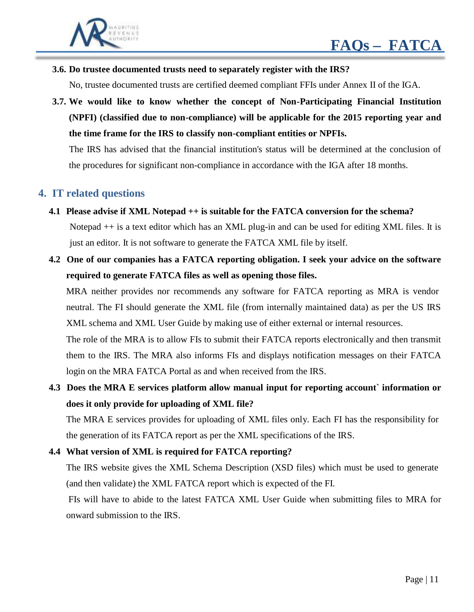

**3.6. Do trustee documented trusts need to separately register with the IRS?**

No, trustee documented trusts are certified deemed compliant FFIs under Annex II of the IGA.

**3.7. We would like to know whether the concept of Non-Participating Financial Institution (NPFI) (classified due to non-compliance) will be applicable for the 2015 reporting year and the time frame for the IRS to classify non-compliant entities or NPFIs.**

The IRS has advised that the financial institution's status will be determined at the conclusion of the procedures for significant non-compliance in accordance with the IGA after 18 months.

### **4. IT related questions**

- **4.1 Please advise if XML Notepad ++ is suitable for the FATCA conversion for the schema?** Notepad ++ is a text editor which has an XML plug-in and can be used for editing XML files. It is just an editor. It is not software to generate the FATCA XML file by itself.
- **4.2 One of our companies has a FATCA reporting obligation. I seek your advice on the software required to generate FATCA files as well as opening those files.**

MRA neither provides nor recommends any software for FATCA reporting as MRA is vendor neutral. The FI should generate the XML file (from internally maintained data) as per the US IRS XML schema and XML User Guide by making use of either external or internal resources.

The role of the MRA is to allow FIs to submit their FATCA reports electronically and then transmit them to the IRS. The MRA also informs FIs and displays notification messages on their FATCA login on the MRA FATCA Portal as and when received from the IRS.

## **4.3 Does the MRA E services platform allow manual input for reporting account` information or does it only provide for uploading of XML file?**

The MRA E services provides for uploading of XML files only. Each FI has the responsibility for the generation of its FATCA report as per the XML specifications of the IRS.

#### **4.4 What version of XML is required for FATCA reporting?**

The IRS website gives the XML Schema Description (XSD files) which must be used to generate (and then validate) the XML FATCA report which is expected of the FI.

FIs will have to abide to the latest FATCA XML User Guide when submitting files to MRA for onward submission to the IRS.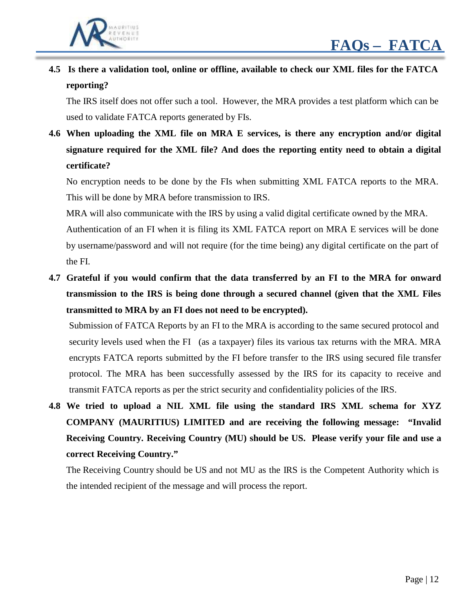

**4.5 Is there a validation tool, online or offline, available to check our XML files for the FATCA reporting?**

The IRS itself does not offer such a tool. However, the MRA provides a test platform which can be used to validate FATCA reports generated by FIs.

**4.6 When uploading the XML file on MRA E services, is there any encryption and/or digital signature required for the XML file? And does the reporting entity need to obtain a digital certificate?**

No encryption needs to be done by the FIs when submitting XML FATCA reports to the MRA. This will be done by MRA before transmission to IRS.

MRA will also communicate with the IRS by using a valid digital certificate owned by the MRA. Authentication of an FI when it is filing its XML FATCA report on MRA E services will be done by username/password and will not require (for the time being) any digital certificate on the part of

the FI.

**4.7 Grateful if you would confirm that the data transferred by an FI to the MRA for onward transmission to the IRS is being done through a secured channel (given that the XML Files transmitted to MRA by an FI does not need to be encrypted).**

Submission of FATCA Reports by an FI to the MRA is according to the same secured protocol and security levels used when the FI (as a taxpayer) files its various tax returns with the MRA. MRA encrypts FATCA reports submitted by the FI before transfer to the IRS using secured file transfer protocol. The MRA has been successfully assessed by the IRS for its capacity to receive and transmit FATCA reports as per the strict security and confidentiality policies of the IRS.

**4.8 We tried to upload a NIL XML file using the standard IRS XML schema for XYZ COMPANY (MAURITIUS) LIMITED and are receiving the following message: "Invalid Receiving Country. Receiving Country (MU) should be US. Please verify your file and use a correct Receiving Country."**

The Receiving Country should be US and not MU as the IRS is the Competent Authority which is the intended recipient of the message and will process the report.